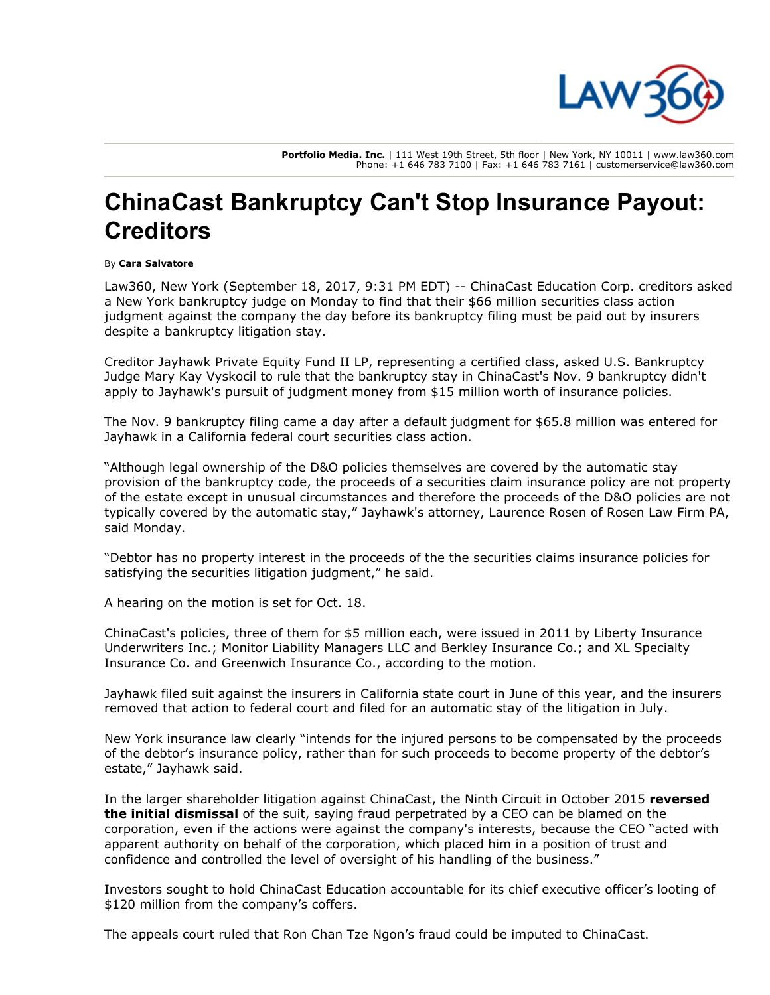

Portfolio Media. Inc. | 111 West 19th Street, 5th floor | New York, NY 10011 | www.law360.com Phone: +1 646 783 7100 | Fax: +1 646 783 7161 | customerservice@law360.com

## ChinaCast Bankruptcy Can't Stop Insurance Payout: **Creditors**

## By Cara Salvatore

Law360, New York (September 18, 2017, 9:31 PM EDT) -- [ChinaCast Education Corp.](https://www.law360.com/companies/chinacast-education-corp) creditors asked a New York bankruptcy judge on Monday to find that their \$66 million securities class action judgment against the company the day before its bankruptcy filing must be paid out by insurers despite a bankruptcy litigation stay.

Creditor Jayhawk Private Equity Fund II LP, representing a certified class, asked U.S. Bankruptcy Judge Mary Kay Vyskocil to rule that the bankruptcy stay in ChinaCast's Nov. 9 bankruptcy didn't apply to Jayhawk's pursuit of judgment money from \$15 million worth of insurance policies.

The Nov. 9 bankruptcy filing came a day after a default judgment for \$65.8 million was entered for Jayhawk in a California federal court securities class action.

"Although legal ownership of the D&O policies themselves are covered by the automatic stay provision of the bankruptcy code, the proceeds of a securities claim insurance policy are not property of the estate except in unusual circumstances and therefore the proceeds of the D&O policies are not typically covered by the automatic stay," Jayhawk's attorney, Laurence Rosen of [Rosen Law Firm PA](https://www.law360.com/firms/rosen-law-firm-pa), said Monday.

"Debtor has no property interest in the proceeds of the the securities claims insurance policies for satisfying the securities litigation judgment," he said.

A hearing on the motion is set for Oct. 18.

ChinaCast's policies, three of them for \$5 million each, were issued in 2011 by Liberty Insurance Underwriters Inc.; Monitor Liability Managers LLC and Berkley Insurance Co.; and XL Specialty Insurance Co. and Greenwich Insurance Co., according to the motion.

Jayhawk filed suit against the insurers in California state court in June of this year, and the insurers removed that action to federal court and filed for an automatic stay of the litigation in July.

New York insurance law clearly "intends for the injured persons to be compensated by the proceeds of the debtor's insurance policy, rather than for such proceeds to become property of the debtor's estate," Jayhawk said.

[In the larger shareholder litigation against ChinaCast, the Ninth Circuit in October 2015](https://www.law360.com/articles/718434) reversed the initial dismissal of the suit, saying fraud perpetrated by a CEO can be blamed on the corporation, even if the actions were against the company's interests, because the CEO "acted with apparent authority on behalf of the corporation, which placed him in a position of trust and confidence and controlled the level of oversight of his handling of the business."

Investors sought to hold ChinaCast Education accountable for its chief executive officer's looting of \$120 million from the company's coffers.

The appeals court ruled that Ron Chan Tze Ngon's fraud could be imputed to ChinaCast.